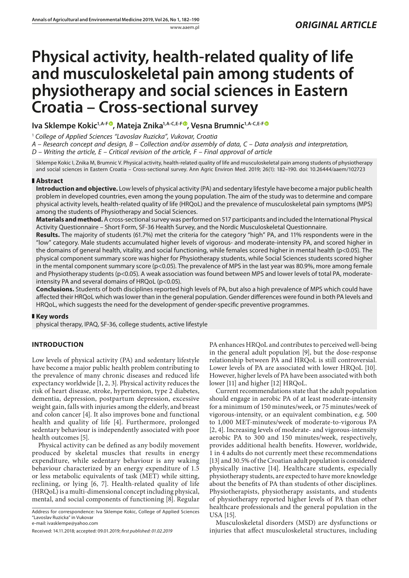# **Physical activity, health-related quality of life and musculoskeletal pain among students of physiotherapy and social sciences in Eastern Croatia – Cross-sectional survey**

Iva Sklempe Kokic<sup>1[,](https://orcid.org/0000-0002-6366-1194)A-F®</sup>, Mateja Znika<sup>1,A-C,E-F®</sup>, Vesna Brumnic<sup>1,A-C,E-F®</sup>

<sup>1</sup> *College of Applied Sciences "Lavoslav Ruzicka", Vukovar, Croatia*

*A – Research concept and design, B – Collection and/or assembly of data, C – Data analysis and interpretation,* 

*D – Writing the article, E – Critical revision of the article, F – Final approval of article*

Sklempe Kokic I, Znika M, Brumnic V. Physical activity, health-related quality of life and musculoskeletal pain among students of physiotherapy and social sciences in Eastern Croatia – Cross-sectional survey. Ann Agric Environ Med. 2019; 26(1): 182–190. doi: 10.26444/aaem/102723

## **Abstract**

**Introduction and objective.** Low levels of physical activity (PA) and sedentary lifestyle have become a major public health problem in developed countries, even among the young population. The aim of the study was to determine and compare physical activity levels, health-related quality of life (HRQoL) and the prevalence of musculoskeletal pain symptoms (MPS) among the students of Physiotherapy and Social Sciences.

**Materials and method.** A cross-sectional survey was performed on 517 participants and included the International Physical Activity Questionnaire – Short Form, SF-36 Health Survey, and the Nordic Musculoskeletal Questionnaire.

**Results.** The majority of students (61.7%) met the criteria for the category "high" PA, and 11% respondents were in the "low" category. Male students accumulated higher levels of vigorous- and moderate-intensity PA, and scored higher in the domains of general health, vitality, and social functioning, while females scored higher in mental health (p<0.05). The physical component summary score was higher for Physiotherapy students, while Social Sciences students scored higher in the mental component summary score  $(p<0.05)$ . The prevalence of MPS in the last year was 80.9%, more among female and Physiotherapy students (p<0.05). A weak association was found between MPS and lower levels of total PA, moderateintensity PA and several domains of HRQoL (p<0.05).

**Conclusions.** Students of both disciplines reported high levels of PA, but also a high prevalence of MPS which could have affected their HRQoL which was lower than in the general population. Gender differences were found in both PA levels and HRQoL, which suggests the need for the development of gender-specific preventive programmes.

## **Key words**

physical therapy, IPAQ, SF-36, college students, active lifestyle

# **INTRODUCTION**

Low levels of physical activity (PA) and sedentary lifestyle have become a major public health problem contributing to the prevalence of many chronic diseases and reduced life expectancy worldwide [1, 2, 3]. Physical activity reduces the risk of heart disease, stroke, hypertension, type 2 diabetes, dementia, depression, postpartum depression, excessive weight gain, falls with injuries among the elderly, and breast and colon cancer [4]. It also improves bone and functional health and quality of life [4]. Furthermore, prolonged sedentary behaviour is independently associated with poor health outcomes [5].

Physical activity can be defined as any bodily movement produced by skeletal muscles that results in energy expenditure, while sedentary behaviour is any waking behaviour characterized by an energy expenditure of 1.5 or less metabolic equivalents of task (MET) while sitting, reclining, or lying [6, 7]. Health-related quality of life (HRQoL) is a multi-dimensional concept including physical, mental, and social components of functioning [8]. Regular PA enhances HRQoL and contributes to perceived well-being in the general adult population [9], but the dose-response relationship between PA and HRQoL is still controversial. Lower levels of PA are associated with lower HRQoL [10]. However, higher levels of PA have been associated with both lower [11] and higher [12] HRQoL.

Current recommendations state that the adult population should engage in aerobic PA of at least moderate-intensity for a minimum of 150 minutes/week, or 75 minutes/week of vigorous-intensity, or an equivalent combination, e.g. 500 to 1,000 MET-minutes/week of moderate-to-vigorous PA [2, 4]. Increasing levels of moderate- and vigorous-intensity aerobic PA to 300 and 150 minutes/week, respectively, provides additional health benefits. However, worldwide, 1 in 4 adults do not currently meet these recommendations [13] and 30.5% of the Croatian adult population is considered physically inactive [14]. Healthcare students, especially physiotherapy students, are expected to have more knowledge about the benefits of PA than students of other disciplines. Physiotherapists, physiotherapy assistants, and students of physiotherapy reported higher levels of PA than other healthcare professionals and the general population in the USA [15].

Musculoskeletal disorders (MSD) are dysfunctions or injuries that affect musculoskeletal structures, including

Address for correspondence: Iva Sklempe Kokic, College of Applied Sciences "Lavoslav Ruzicka" in Vukovar e-mail: ivasklempe@yahoo.com

Received: 14.11.2018; accepted: 09.01.2019; *first published: 01.02.2019*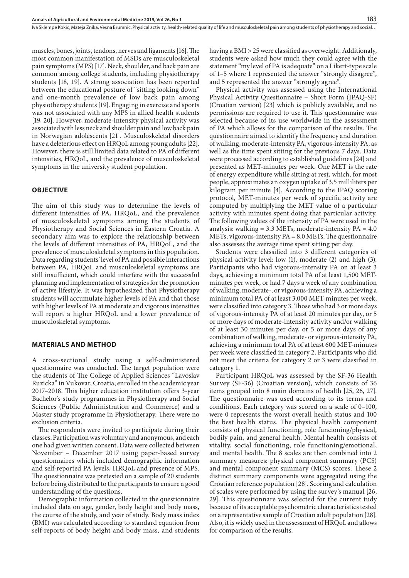muscles, bones, joints, tendons, nerves and ligaments [16]. The most common manifestation of MSDs are musculoskeletal pain symptoms (MPS) [17]. Neck, shoulder, and back pain are common among college students, including physiotherapy students [18, 19]. A strong association has been reported between the educational posture of "sitting looking down" and one-month prevalence of low back pain among physiotherapy students [19]. Engaging in exercise and sports was not associated with any MPS in allied health students [19, 20]. However, moderate-intensity physical activity was associated with less neck and shoulder pain and low back pain in Norwegian adolescents [21]. Musculoskeletal disorders have a deleterious effect on HRQoL among young adults [22]. However, there is still limited data related to PA of different intensities, HRQoL, and the prevalence of musculoskeletal symptoms in the university student population.

#### **OBJECTIVE**

The aim of this study was to determine the levels of different intensities of PA, HRQoL, and the prevalence of musculoskeletal symptoms among the students of Physiotherapy and Social Sciences in Eastern Croatia. A secondary aim was to explore the relationship between the levels of different intensities of PA, HRQoL, and the prevalence of musculoskeletal symptoms in this population. Data regarding students' level of PA and possible interactions between PA, HRQoL and musculoskeletal symptoms are still insufficient, which could interfere with the successful planning and implementation of strategies for the promotion of active lifestyle. It was hypothesized that Physiotherapy students will accumulate higher levels of PA and that those with higher levels of PA at moderate and vigorous intensities will report a higher HRQoL and a lower prevalence of musculoskeletal symptoms.

#### **MATERIALS AND METHOD**

A cross-sectional study using a self-administered questionnaire was conducted. The target population were the students of The College of Applied Sciences "Lavoslav Ruzicka" in Vukovar, Croatia, enrolled in the academic year 2017–2018. This higher education institution offers 3-year Bachelor's study programmes in Physiotherapy and Social Sciences (Public Administration and Commerce) and a Master study programme in Physiotherapy. There were no exclusion criteria.

The respondents were invited to participate during their classes. Participation was voluntary and anonymous, and each one had given written consent. Data were collected between November – December 2017 using paper-based survey questionnaires which included demographic information and self-reported PA levels, HRQoL and presence of MPS. The questionnaire was pretested on a sample of 20 students before being distributed to the participants to ensure a good understanding of the questions.

Demographic information collected in the questionnaire included data on age, gender, body height and body mass, the course of the study, and year of study. Body mass index (BMI) was calculated according to standard equation from self-reports of body height and body mass, and students

having a BMI > 25 were classified as overweight. Additionaly, students were asked how much they could agree with the statement "my level of PA is adequate" on a Likert-type scale of 1–5 where 1 represented the answer "strongly disagree", and 5 represented the answer "strongly agree".

Physical activity was assessed using the International Physical Activity Questionnaire – Short Form (IPAQ-SF) (Croatian version) [23] which is publicly available, and no permissions are required to use it. This questionnaire was selected because of its use worldwide in the assessment of PA which allows for the comparison of the results. The questionnaire aimed to identify the frequency and duration of walking, moderate-intensity PA, vigorous-intensity PA, as well as the time spent sitting for the previous 7 days. Data were processed according to established guidelines [24] and presented as MET-minutes per week. One MET is the rate of energy expenditure while sitting at rest, which, for most people, approximates an oxygen uptake of 3.5 milliliters per kilogram per minute [4]. According to the IPAQ scoring protocol, MET-minutes per week of specific activity are computed by multiplying the MET value of a particular activity with minutes spent doing that particular activity. The following values of the intensity of PA were used in the analysis: walking =  $3.3$  METs, moderate-intensity PA =  $4.0$ METs, vigorous-intensity PA = 8.0 METs. The questionnaire also assesses the average time spent sitting per day.

Students were classified into 3 different categories of physical activity level: low (1), moderate (2) and high (3). Participants who had vigorous-intensity PA on at least 3 days, achieving a minimum total PA of at least 1,500 METminutes per week, or had 7 days a week of any combination of walking, moderate-, or vigorous-intensity PA, achieving a minimum total PA of at least 3,000 MET-minutes per week, were classified into category 3. Those who had 3 or more days of vigorous-intensity PA of at least 20 minutes per day, or 5 or more days of moderate-intensity activity and/or walking of at least 30 minutes per day, or 5 or more days of any combination of walking, moderate- or vigorous-intensity PA, achieving a minimum total PA of at least 600 MET-minutes per week were classified in category 2. Participants who did not meet the criteria for category 2 or 3 were classified in category 1.

Participant HRQoL was assessed by the SF-36 Health Survey (SF-36) (Croatian version), which consists of 36 items grouped into 8 main domains of health [25, 26, 27]. The questionnaire was used according to its terms and conditions. Each category was scored on a scale of 0–100, were 0 represents the worst overall health status and 100 the best health status. The physical health component consists of physical functioning, role funcioning/physical, bodily pain, and general health. Mental health consists of vitality, social functioning, role functioning/emotional, and mental health. The 8 scales are then combined into 2 summary measures: physical component summary (PCS) and mental component summary (MCS) scores. These 2 distinct summary components were aggregated using the Croatian reference population [28]. Scoring and calculation of scales were performed by using the survey's manual [26, 29]. This questionnare was selected for the current tudy because of its acceptable psychometric characteristics tested on a representative sample of Croatian adult population [28]. Also, it is widely used in the assessment of HRQoL and allows for comparison of the results.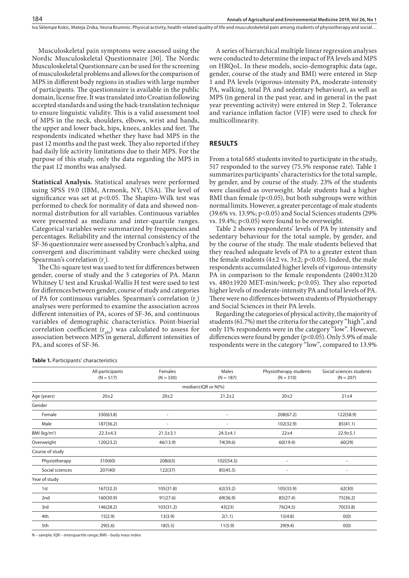Musculoskeletal pain symptoms were assessed using the Nordic Musculoskeletal Questionnaire [30]. The Nordic Musculoskeletal Questionnare can be used for the screening of musculoskeletal problems and allows for the comparison of MPS in different body regions in studies with large number of participants. The questionnaire is available in the public domain, license free. It was translated into Croatian following accepted standards and using the back*-*translation technique to ensure linguistic validity. This is a valid assessment tool of MPS in the neck, shoulders, elbows, wrist and hands, the upper and lower back, hips, knees, ankles and feet. The respondents indicated whether they have had MPS in the past 12 months and the past week. They also reported if they had daily life activity limitations due to their MPS. For the purpose of this study, only the data regarding the MPS in the past 12 months was analysed.

**Statistical Analysis.** Statistical analyses were performed using SPSS 19.0 (IBM, Armonk, NY, USA). The level of significance was set at p<0.05. The Shapiro-Wilk test was performed to check for normality of data and showed nonnormal distribution for all variables. Continuous variables were presented as medians and inter-quartile ranges. Categorical variables were summarized by frequencies and percentages. Reliability and the internal consistency of the SF-36 questionnaire were assessed by Cronbach's alpha, and convergent and discriminant validity were checked using Spearman's correlation  $(r<sub>s</sub>)$ .

The Chi-square test was used to test for differences between gender, course of study and the 3 categories of PA. Mann Whitney U test and Kruskal-Wallis H test were used to test for differences between gender, course of study and categories of PA for continuous variables. Spearman's correlation  $(r<sub>s</sub>)$ analyses were performed to examine the association across different intensities of PA, scores of SF-36, and continuous variables of demographic characteristics. Point-biserial correlation coefficient  $(r_{pbi})$  was calculated to assess for association between MPS in general, different intensities of PA, and scores of SF-36.

A series of hierarchical multiple linear regression analyses were conducted to determine the impact of PA levels and MPS on HRQoL. In these models, socio-demographic data (age, gender, course of the study and BMI) were entered in Step 1 and PA levels (vigorous-intensity PA, moderate-intensity PA, walking, total PA and sedentary behaviour), as well as MPS (in general in the past year, and in general in the past year preventing activity) were entered in Step 2. Tolerance and variance inflation factor (VIF) were used to check for multicollinearity.

# **RESULTS**

From a total 685 students invited to participate in the study, 517 responded to the survey (75.5% response rate). Table 1 summarizes participants' characteristics for the total sample, by gender, and by course of the study. 23% of the students were classified as overweight. Male students had a higher BMI than female (p<0.05), but both subgroups were within normal limits. However, a greater percentage of male students (39.6% vs. 13.9%; p<0.05) and Social Sciences students (29% vs. 19.4%; p<0.05) were found to be overweight.

Table 2 shows respondents' levels of PA by intensity and sedentary behaviour for the total sample, by gender, and by the course of the study. The male students believed that they reached adequate levels of PA to a greater extent than the female students (4 $\pm$ 2 vs. 3 $\pm$ 2; p<0.05). Indeed, the male respondents accumulated higher levels of vigorous-intensity PA in comparison to the female respondents (2400±3120 vs. 480±1920 MET-min/week; p<0.05). They also reported higher levels of moderate-intensity PA and total levels of PA. There were no differences between students of Physiotherapy and Social Sciences in their PA levels.

Regarding the categories of physical activity, the majority of students (61.7%) met the criteria for the category "high", and only 11% respondents were in the category "low". However, differences were found by gender (p<0.05). Only 5.9% of male respondents were in the category "low", compared to 13.9%

**Table 1.** Participants' characteristics

|                 | All participants<br>$(N = 517)$ | Females<br>$(N = 330)$ | Males<br>$(N = 187)$     | Physiotherapy students<br>$(N = 310)$ | Social sciences students<br>$(N = 207)$ |
|-----------------|---------------------------------|------------------------|--------------------------|---------------------------------------|-----------------------------------------|
|                 |                                 |                        | median±IQR or N(%)       |                                       |                                         |
| Age (years)     | $20 + 2$                        | 20±2                   | $21.2 + 2$               | $20 + 2$                              | $21 + 4$                                |
| Gender          |                                 |                        |                          |                                       |                                         |
| Female          | 330(63.8)                       | ÷                      | $\overline{\phantom{a}}$ | 208(67.2)                             | 122(58.9)                               |
| Male            | 187(36.2)                       | ٠                      | ٠                        | 102(32.9)                             | 85(41.1)                                |
| BMI ( $kg/m2$ ) | $22.3 \pm 4.3$                  | $21.5 \pm 3.1$         | $24.5 + 4.1$             | $22 + 4$                              | $22.9 + 5.1$                            |
| Overweight      | 120(23.2)                       | 46(13.9)               | 74(39.6)                 | 60(19.4)                              | 60(29)                                  |
| Course of study |                                 |                        |                          |                                       |                                         |
| Physiotherapy   | 310(60)                         | 208(63)                | 102((54.5)               | ٠                                     | ٠                                       |
| Social sciences | 207(40)                         | 122(37)                | 85(45.5)                 | ٠                                     | $\overline{\phantom{a}}$                |
| Year of study   |                                 |                        |                          |                                       |                                         |
| 1st             | 167(32.3)                       | 105(31.8)              | 62(33.2)                 | 105(33.9)                             | 62(30)                                  |
| 2 <sub>nd</sub> | 160(30.9)                       | 91(27.6)               | 69(36.9)                 | 85(27.4)                              | 75(36.2)                                |
| 3rd             | 146(28.2)                       | 103(31.2)              | 43(23)                   | 76(24.5)                              | 70(33.8)                                |
| 4th             | 15(2.9)                         | 13(3.9)                | 2(1.1)                   | 15(4.8)                               | 0(0)                                    |
| 5th             | 29(5.6)                         | 18(5.5)                | 11(5.9)                  | 29(9.4)                               | 0(0)                                    |
|                 |                                 |                        |                          |                                       |                                         |

N – sample; IQR – interquartile range; BMI – body mass index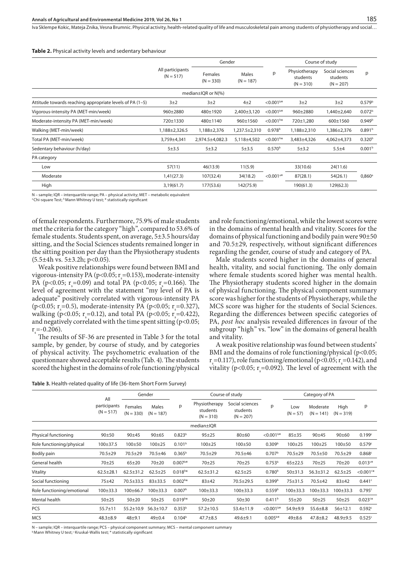**Table 2.** Physical activity levels and sedentary behaviour

|                                                          |                                 | Gender                   |                      |                      | Course of study                          |                                            |                    |  |
|----------------------------------------------------------|---------------------------------|--------------------------|----------------------|----------------------|------------------------------------------|--------------------------------------------|--------------------|--|
|                                                          | All participants<br>$(N = 517)$ | Females<br>$(N = 330)$   | Males<br>$(N = 187)$ | p                    | Physiotherapy<br>students<br>$(N = 310)$ | Social sciences<br>students<br>$(N = 207)$ | p                  |  |
|                                                          |                                 | median $\pm$ IQR or N(%) |                      |                      |                                          |                                            |                    |  |
| Attitude towards reaching appropriate levels of PA (1-5) | 3±2                             | 3±2                      | $4\pm2$              | < 0.001 <sup>b</sup> | 3±2                                      | 3±2                                        | 0.579 <sup>b</sup> |  |
| Vigorous-intensity PA (MET-min/week)                     | 960±2880                        | 480±1920                 | 2,400±3,120          | < 0.001 <sup>b</sup> | 960±2880                                 | 1,440±2,640                                | 0.072 <sup>b</sup> |  |
| Moderate-intensity PA (MET-min/week)                     | 720±1330                        | 480±1140                 | 960±1560             | < 0.001 <sup>b</sup> | 720±1,280                                | 600±1560                                   | 0.949 <sup>b</sup> |  |
| Walking (MET-min/week)                                   | 1,188±2,326.5                   | 1,188±2,376              | 1,237.5±2,310        | 0.978 <sup>b</sup>   | 1,188±2,310                              | 1,386±2,376                                | 0.891 <sup>b</sup> |  |
| Total PA (MET-min/week)                                  | 3,759±4,341                     | 2,974.5±4,082.3          | 5,118±4,502          | < 0.001 <sup>b</sup> | 3,483±4,326                              | $4,062 \pm 4,373$                          | 0.320 <sup>b</sup> |  |
| Sedentary behaviour (h/day)                              | $5 + 3.5$                       | $5 + 3.2$                | $5 + 3.5$            | 0.570 <sup>b</sup>   | $5 + 3.2$                                | $5.5 + 4$                                  | 0.001 <sup>b</sup> |  |
| PA category                                              |                                 |                          |                      |                      |                                          |                                            |                    |  |
| Low                                                      | 57(11)                          | 46(13.9)                 | 11(5.9)              |                      | 33(10.6)                                 | 24(11.6)                                   |                    |  |
| Moderate                                                 | 1,41(27.3)                      | 107(32.4)                | 34(18.2)             | $< 0.001a*$          | 87(28.1)                                 | 54(26.1)                                   | $0,860^{\rm a}$    |  |
| High                                                     | 3,19(61.7)                      | 177(53.6)                | 142(75.9)            |                      | 190(61.3)                                | 129(62.3)                                  |                    |  |

N – sample; IQR – interquartile range; PA – physical activity; MET – metabolic equivalent <sup>a</sup> Chi-square Test; <sup>b</sup> Mann Whitney U test; \* statistically significant

of female respondents. Furthermore, 75.9% of male students met the criteria for the category "high", compared to 53.6% of female students. Students spent, on average, 5±3.5 hours/day sitting, and the Social Sciences students remained longer in the sitting position per day than the Physiotherapy students  $(5.5\pm4h \text{ vs. } 5\pm3.2h; \text{ p}<0.05).$ 

Weak positive relationships were found between BMI and vigorous-intensity PA (p<0.05;  $r_s = 0.153$ ), moderate-intensity PA (p<0.05; r<sub>s</sub>=0.09) and total PA (p<0.05; r<sub>s</sub>=0.166). The level of agreement with the statement "my level of PA is adequate" positively correlated with vigorous-intensity PA (p<0.05; r<sub>s</sub>=0.5), moderate-intensity PA (p<0.05; r<sub>s</sub>=0.327), walking (p<0.05; r<sub>s</sub>=0.12), and total PA (p<0.05; r<sub>s</sub>=0.422), and negatively correlated with the time spent sitting  $(p<0.05;$  $r_s = -0.206$ ).

The results of SF-36 are presented in Table 3 for the total sample, by gender, by course of study, and by categories of physical activity. The psychometric evaluation of the questionnare showed acceptable results (Tab. 4). The students scored the highest in the domains of role functioning/physical and role functioning/emotional, while the lowest scores were in the domains of mental health and vitality. Scores for the domains of physical functioning and bodily pain were 90±50 and 70.5±29, respectively, without significant differences regarding the gender, course of study and category of PA.

Male students scored higher in the domains of general health, vitality, and social functioning. The only domain where female students scored higher was mental health. The Physiotherapy students scored higher in the domain of physical functioning. The physical component summary score was higher for the students of Physiotherapy, while the MCS score was higher for the students of Social Sciences. Regarding the differences between specific categories of PA, *post hoc* analysis revealed differences in favour of the subgroup "high" vs. "low" in the domains of general health and vitality.

A weak positive relationship was found between students' BMI and the domains of role functioning/physical (p<0.05;  $r_s$ =0.117), role functioning/emotional (p<0.05;  $r_s$ =0.142), and vitality ( $p<0.05$ ;  $r_s = 0.092$ ). The level of agreement with the

|  | Table 3. Health-related quality of life (36-Item Short Form Survey) |  |
|--|---------------------------------------------------------------------|--|
|--|---------------------------------------------------------------------|--|

|                            | All<br>participants<br>$(N = 517)$ |                        | Gender               |                    | Course of study                          |                                            |                      | Category of PA    |                         |                     |                         |
|----------------------------|------------------------------------|------------------------|----------------------|--------------------|------------------------------------------|--------------------------------------------|----------------------|-------------------|-------------------------|---------------------|-------------------------|
|                            |                                    | Females<br>$(N = 330)$ | Males<br>$(N = 187)$ | p                  | Physiotherapy<br>students<br>$(N = 310)$ | Social sciences<br>students<br>$(N = 207)$ | p                    | Low<br>$(N = 57)$ | Moderate<br>$(N = 141)$ | High<br>$(N = 319)$ | р                       |
|                            |                                    |                        |                      |                    | median±IQR                               |                                            |                      |                   |                         |                     |                         |
| Physical functioning       | $90 + 50$                          | $90 + 45$              | 90±65                | 0.823 <sup>b</sup> | $95 + 25$                                | $80 + 60$                                  | $<$ 0.001b*          | $85 + 35$         | $90 + 45$               | 90±60               | 0.199c                  |
| Role functioning/physical  | 100±37.5                           | $100 + 50$             | $100 + 25$           | 0.101 <sup>b</sup> | $100 + 25$                               | $100 + 50$                                 | 0.309 <sup>b</sup>   | $100 + 25$        | $100 + 25$              | $100 + 50$          | 0.579c                  |
| Bodily pain                | 70.5±29                            | 70.5±29                | 70.5±46              | 0.365 <sup>b</sup> | $70.5 + 29$                              | 70.5±46                                    | 0.707 <sup>b</sup>   | $70.5 \pm 29$     | 70.5±50                 | $70.5 \pm 29$       | 0.868c                  |
| General health             | $70 + 25$                          | $65 + 20$              | $70 + 20$            | 0.007 <sup>b</sup> | $70 + 25$                                | $70 + 25$                                  | 0.753 <sup>b</sup>   | $65 + 22.5$       | $70 + 25$               | $70 + 20$           | $0.013c*$               |
| Vitality                   | $62.5 \pm 28.1$                    | $62.5 \pm 31.2$        | $62.5 \pm 25$        | 0.018 <sup>b</sup> | $62.5 \pm 31.2$                          | $62.5 \pm 25$                              | 0.780 <sup>b</sup>   | 50±31.3           | $56.3 \pm 31.2$         | $62.5 \pm 25$       | $< 0.001$ <sup>c*</sup> |
| Social functioning         | 75±42                              | $70.5 \pm 33.5$        | $83 + 33.5$          | 0.002 <sup>b</sup> | $83 + 42$                                | 70.5±29.5                                  | 0.399 <sup>b</sup>   | $75 + 31.5$       | 70.5±42                 | $83 + 42$           | 0.441c                  |
| Role functioning/emotional | $100 \pm 33.3$                     | $100 \pm 66.7$         | $100 + 33.3$         | 0.007 <sup>b</sup> | $100 + 33.3$                             | $100 \pm 33.3$                             | 0.559 <sup>b</sup>   | $100 + 33.3$      | $100 + 33.3$            | $100 \pm 33.3$      | 0.795c                  |
| Mental health              | $50 + 25$                          | $50 + 20$              | $50 + 25$            | 0.019 <sup>b</sup> | $50 + 20$                                | $50 + 30$                                  | 0.411 <sup>b</sup>   | $55 + 20$         | $50 + 25$               | $50 + 25$           | $0.023c*$               |
| PCS                        | $55.7 \pm 11$                      | $55.2 \pm 10.9$        | $56.3 \pm 10.7$      | 0.353 <sup>b</sup> | $57.2 \pm 10.5$                          | $53.4 \pm 11.9$                            | < 0.001 <sup>b</sup> | $54.9 + 9.9$      | $55.6 \pm 8.8$          | 56±12.1             | 0.592c                  |
| <b>MCS</b>                 | $48.3 + 8.9$                       | $48 + 9.1$             | $49 + 0.4$           | 0.104 <sup>b</sup> | $47.7 + 8.5$                             | $49.6 + 9.1$                               | $0.005b*$            | $49 + 8.6$        | $47.8 \pm 8.2$          | $48.9 + 9.5$        | 0.525c                  |
|                            |                                    |                        |                      |                    |                                          |                                            |                      |                   |                         |                     |                         |

N – sample; IQR – interquartile range; PCS – physical component summary; MCS – mental component summary<br>ʰMann Whitney U test; ʿKruskal-Wallis test; \* statistically significant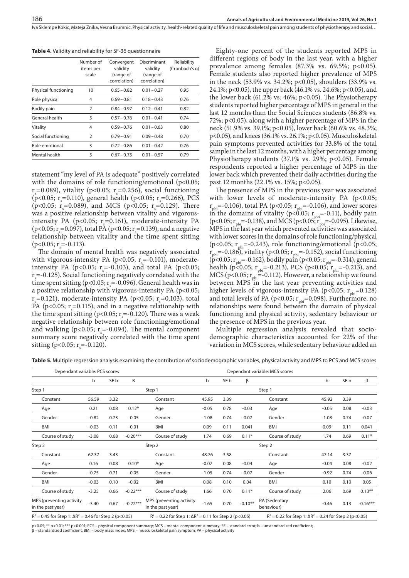| Table 4. Validity and reliability for SF-36 questionnaire |  |  |  |
|-----------------------------------------------------------|--|--|--|
|-----------------------------------------------------------|--|--|--|

|                      | Number of<br>items per<br>scale | Convergent<br>validity<br>(range of<br>correlation) | Discriminant<br>validity<br>(range of<br>correlation) | Reliability<br>(Cronbach's a) |
|----------------------|---------------------------------|-----------------------------------------------------|-------------------------------------------------------|-------------------------------|
| Physical functioning | 10                              | $0.65 - 0.82$                                       | $0.01 - 0.27$                                         | 0.95                          |
| Role physical        | 4                               | $0.69 - 0.81$                                       | $0.18 - 0.43$                                         | 0.76                          |
| Bodily pain          | $\overline{2}$                  | $0.84 - 0.97$                                       | $0.12 - 0.41$                                         | 0.82                          |
| General health       | 5                               | $0.57 - 0.76$                                       | $0.01 - 0.41$                                         | 0.74                          |
| Vitality             | 4                               | $0.59 - 0.76$                                       | $0.01 - 0.63$                                         | 0.80                          |
| Social functioning   | 2                               | $0.79 - 0.91$                                       | $0.09 - 0.48$                                         | 0.70                          |
| Role emotional       | 3                               | $0.72 - 0.86$                                       | $0.01 - 0.42$                                         | 0.76                          |
| Mental health        | 5                               | $0.67 - 0.75$                                       | $0.01 - 0.57$                                         | 0.79                          |
|                      |                                 |                                                     |                                                       |                               |

statement "my level of PA is adequate" positively correlated with the domains of role functioning/emotional (p<0.05;  $r_s = 0.089$ ), vitality (p<0.05;  $r_s = 0.256$ ), social functioning  $(p<0.05; r_s=0.110)$ , general health  $(p<0.05; r_s=0.266)$ , PCS (p<0.05; r<sub>s</sub>=0.089), and MCS (p<0.05; r<sub>s</sub>=0.129). There was a positive relationship between vitality and vigorousintensity PA  $(p<0.05; r=0.161)$ , moderate-intensity PA (p<0.05; r = 0.097), total PA (p<0.05; r = 0.139), and a negative relationship between vitality and the time spent sitting  $(p<0.05; r_s=-0.113).$ 

The domain of mental health was negatively associated with vigorous-intensity PA ( $p < 0.05$ ;  $r_s = -0.101$ ), moderateintensity PA ( $p<0.05$ ;  $r_s = -0.103$ ), and total PA ( $p<0.05$ ;  $r_s$  =-0.125). Social functioning negatively correlated with the time spent sitting (p<0.05;  $r_s = -0.096$ ). General health was in a positive relationship with vigorous-intensity PA ( $p<0.05$ ;  $r_s$ =0.121), moderate-intensity PA (p<0.05;  $r_s$ =0.103), total PA ( $p<0.05$ ;  $r_s=0.115$ ), and in a negative relationship with the time spent sitting ( $p<0.05$ ;  $r_s = -0.120$ ). There was a weak negative relationship between role functioning/emotional and walking ( $p<0.05$ ;  $r_s = -0.094$ ). The mental component summary score negatively correlated with the time spent sitting (p<0.05; r<sub>s</sub>=-0.120).

Eighty-one percent of the students reported MPS in different regions of body in the last year, with a higher prevalence among females  $(87.3\% \text{ vs. } 69.5\%; \text{ p} < 0.05)$ . Female students also reported higher prevalence of MPS in the neck (53.9% vs. 34.2%; p<0.05), shoulders (33.9% vs. 24.1%; p<0.05), the upper back (46.1% vs. 24.6%; p<0.05), and the lower back  $(61.2\% \text{ vs. } 46\%; \text{ p} < 0.05)$ . The Physiotherapy students reported higher percentage of MPS in general in the last 12 months than the Social Sciences students (86.8% vs. 72%; p<0.05), along with a higher percentage of MPS in the neck (51.9% vs. 39.1%; p<0.05), lower back (60.6% vs. 48.3%; p<0.05), and knees (36.1% vs. 26.1%; p<0.05). Musculoskeletal pain symptoms prevented activities for 33.8% of the total sample in the last 12 months, with a higher percentage among Physiotherapy students (37.1% vs. 29%; p<0.05). Female respondents reported a higher percentage of MPS in the lower back which prevented their daily activities during the past 12 months (22.1% vs. 15%; p<0.05).

The presence of MPS in the previous year was associated with lower levels of moderate-intensity PA (p<0.05;  $r_{\text{phi}}$ =-0.106), total PA (p<0.05;  $r_{\text{phi}}$ =-0.106), and lower scores in the domains of vitality (p<0.05;  $r_{\text{pbi}}$ =-0.11), bodily pain (p<0.05; r<sub>pbi</sub>=-0.138), and MCS (p<0.05; r<sub>pbi</sub>=-0.095). Likewise, MPS in the last year which prevented activities was associated with lower scores in the domains of role functioning/physical (p<0.05;  $r_{\text{phi}}$ =-0.243), role functioning/emotional (p<0.05;  $r_{\text{pbi}}$ =-0.186), vitality (p<0.05;  $r_{\text{pbi}}$ =-0.152), social functioning (p<0.05; r<sub>pbi</sub>=-0.162), bodily pain (p<0.05; r<sub>pbi</sub>=-0.314), general health (p $\leq 0.05$ ; r<sub>pbi</sub>=-0.213), PCS (p $\lt$ 0.05; r<sub>pbi</sub>=-0.213), and MCS (p<0.05;  $r_{\text{phi}} = 0.112$ ). However, a relationship we found between MPS in the last year preventing activities and higher levels of vigorous-intensity PA (p<0.05;  $r_{\text{phi}}$ =0.128) and total levels of PA (p<0.05;  $r_{\text{pbi}}$ =0.098). Furthermore, no relationships were found between the domain of physical functioning and physical activity, sedentary behaviour or the presence of MPS in the previous year.

Multiple regression analysis revealed that sociodemographic characteristics accounted for 22% of the variation in MCS scores, while sedentary behaviour added an

**Table 5.** Multiple regression analysis examining the contribution of sociodemographic variables, physical activity and MPS to PCS and MCS scores

| Dependant variable: PCS scores                                   |         |      |            |                                                                  |         |      |           | Dependant variable: MCS scores                                   |         |      |            |
|------------------------------------------------------------------|---------|------|------------|------------------------------------------------------------------|---------|------|-----------|------------------------------------------------------------------|---------|------|------------|
|                                                                  | b       | SE b | B          |                                                                  | b       | SE b | β         |                                                                  | b       | SE b | β          |
| Step 1                                                           |         |      |            | Step 1                                                           |         |      |           | Step 1                                                           |         |      |            |
| Constant                                                         | 56.59   | 3.32 |            | Constant                                                         | 45.95   | 3.39 |           | Constant                                                         | 45.92   | 3.39 |            |
| Age                                                              | 0.21    | 0.08 | $0.12*$    | Age                                                              | $-0.05$ | 0.78 | $-0.03$   | Age                                                              | $-0.05$ | 0.08 | $-0.03$    |
| Gender                                                           | $-0.82$ | 0.73 | $-0.05$    | Gender                                                           | $-1.08$ | 0.74 | $-0.07$   | Gender                                                           | $-1.08$ | 0.74 | $-0.07$    |
| BMI                                                              | $-0.03$ | 0.11 | $-0.01$    | BMI                                                              | 0.09    | 0.11 | 0.041     | BMI                                                              | 0.09    | 0.11 | 0.041      |
| Course of study                                                  | $-3.08$ | 0.68 | $-0.20***$ | Course of study                                                  | 1.74    | 0.69 | $0.11*$   | Course of study                                                  | 1.74    | 0.69 | $0.11*$    |
| Step 2                                                           |         |      |            | Step 2                                                           |         |      |           | Step 2                                                           |         |      |            |
| Constant                                                         | 62.37   | 3.43 |            | Constant                                                         | 48.76   | 3.58 |           | Constant                                                         | 47.14   | 3.37 |            |
| Age                                                              | 0.16    | 0.08 | $0.10*$    | Age                                                              | $-0.07$ | 0.08 | $-0.04$   | Age                                                              | $-0.04$ | 0.08 | $-0.02$    |
| Gender                                                           | $-0.75$ | 0.71 | $-0.05$    | Gender                                                           | $-1.05$ | 0.74 | $-0.07$   | Gender                                                           | $-0.92$ | 0.74 | $-0.06$    |
| BMI                                                              | $-0.03$ | 0.10 | $-0.02$    | BMI                                                              | 0.08    | 0.10 | 0.04      | BMI                                                              | 0.10    | 0.10 | 0.05       |
| Course of study                                                  | $-3.25$ | 0.66 | $-0.22***$ | Course of study                                                  | 1.66    | 0.70 | $0.11*$   | Course of study                                                  | 2.06    | 0.69 | $0.13***$  |
| MPS (preventing activity<br>in the past year)                    | $-3.40$ | 0.67 | $-0.22***$ | MPS (preventing activity<br>in the past year)                    | $-1.65$ | 0.70 | $-0.10**$ | PA (Sedentary<br>behaviour)                                      | $-0.46$ | 0.13 | $-0.16***$ |
| $R^2 = 0.45$ for Step 1: $\Delta R^2 = 0.46$ for Step 2 (p<0.05) |         |      |            | $R^2 = 0.22$ for Step 1: $\Delta R^2 = 0.11$ for Step 2 (p<0.05) |         |      |           | $R^2 = 0.22$ for Step 1: $\Delta R^2 = 0.24$ for Step 2 (p<0.05) |         |      |            |

p<0.05; \*\* p<0.01; \*\*\* p<0.001; PCS – physical component summary; MCS – mental component summary; SE – standard error; b – unstandardized coefficient;

β – standardized coefficient; BMI – body mass index; MPS – musculoskeletal pain symptom; PA – physical activity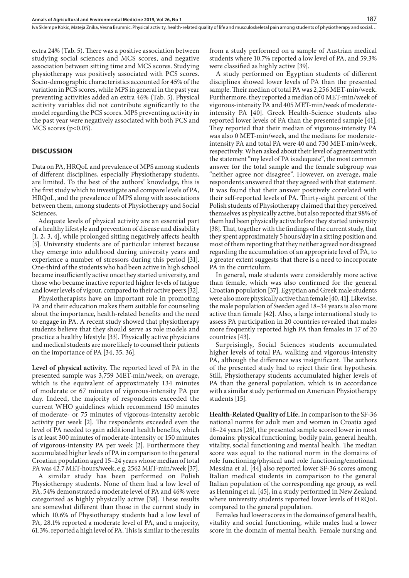extra 24% (Tab. 5). There was a positive association between studying social sciences and MCS scores, and negative association between sitting time and MCS scores. Studying physiotherapy was positively associated with PCS scores. Socio-demographic characteristics accounted for 45% of the variation in PCS scores, while MPS in general in the past year preventing activities added an extra 46% (Tab. 5). Physical acitivity variables did not contribute significantly to the model regarding the PCS scores. MPS preventing activity in the past year were negatively associated with both PCS and  $MCS$  scores (p<0.05).

#### **DISCUSSION**

Data on PA, HRQoL and prevalence of MPS among students of different disciplines, especially Physiotherapy students, are limited. To the best of the authors' knowledge, this is the first study which to investigate and compare levels of PA, HRQoL, and the prevalence of MPS along with associations between them, among students of Physiotherapy and Social Sciences.

Adequate levels of physical activity are an essential part of a healthy lifestyle and prevention of disease and disability [1, 2, 3, 4], while prolonged sitting negatively affects health [5]. University students are of particular interest because they emerge into adulthood during university years and experience a number of stressors during this period [31]. One-third of the students who had been active in high school became insufficiently active once they started university, and those who became inactive reported higher levels of fatigue and lower levels of vigour, compared to their active peers [32].

Physiotherapists have an important role in promoting PA and their education makes them suitable for counseling about the importance, health-related benefits and the need to engage in PA. A recent study showed that physiotherapy students believe that they should serve as role models and practice a healthy lifestyle [33]. Physically active physicians and medical students are more likely to counsel their patients on the importance of PA [34, 35, 36].

**Level of physical activity.** The reported level of PA in the presented sample was 3,759 MET-min/week, on average, which is the equivalent of approximately 134 minutes of moderate or 67 minutes of vigorous-intensity PA per day. Indeed, the majority of respondents exceeded the current WHO guidelines which recommend 150 minutes of moderate- or 75 minutes of vigorous-intensity aerobic activity per week [2]. The respondents exceeded even the level of PA needed to gain additional health benefits, which is at least 300 minutes of moderate-intensity or 150 minutes of vigorous-intensity PA per week [2]. Furthermore they accumulated higher levels of PA in comparison to the general Croatian population aged 15–24 years whose median of total PA was 42.7 MET-hours/week, e.g. 2562 MET-min/week [37].

A similar study has been performed on Polish Physiotherapy students. None of them had a low level of PA, 54% demonstrated a moderate level of PA and 46% were categorized as highly physically active [38]. These results are somewhat different than those in the current study in which 10.6% of Physiotherapy students had a low level of PA, 28.1% reported a moderate level of PA, and a majority, 61.3%, reported a high level of PA. This is similar to the results

from a study performed on a sample of Austrian medical students where 10.7% reported a low level of PA, and 59.3% were classified as highly active [39].

A study performed on Egyptian students of different disciplines showed lower levels of PA than the presented sample. Their median of total PA was 2,256 MET-min/week. Furthermore, they reported a median of 0 MET-min/week of vigorous-intensity PA and 405 MET-min/week of moderateintensity PA [40]. Greek Health-Science students also reported lower levels of PA than the presented sample [41]. They reported that their median of vigorous-intensity PA was also 0 MET-min/week, and the medians for moderateintensity PA and total PA were 40 and 730 MET-min/week, respectively. When asked about their level of agreement with the statement "my level of PA is adequate", the most common answer for the total sample and the female subgroup was "neither agree nor disagree". However, on average, male respondents answered that they agreed with that statement. It was found that their answer positively correlated with their self-reported levels of PA. Thirty-eight percent of the Polish students of Physiotherapy claimed that they perceived themselves as physically active, but also reported that 98% of them had been physically active before they started university [38]. That, together with the findings of the current study, that they spent approximately 5 hours/day in a sitting position and most of them reporting that they neither agreed nor disagreed regarding the accumulation of an appropriate level of PA, to a greater extent suggests that there is a need to incorporate PA in the curriculum.

In general, male students were considerably more active than female, which was also confirmed for the general Croatian population [37]. Egyptian and Greek male students were also more physically active than female [40, 41]. Likewise, the male population of Sweden aged 18–34 years is also more active than female [42]. Also, a large international study to assess PA participation in 20 countries revealed that males more frequently reported high PA than females in 17 of 20 countries [43].

Surprisingly, Social Sciences students accumulated higher levels of total PA, walking and vigorous-intensity PA, although the difference was insignificant. The authors of the presented study had to reject their first hypothesis. Still, Physiotherapy students accumulated higher levels of PA than the general population, which is in accordance with a similar study performed on American Physiotherapy students [15].

**Health-Related Quality of Life.** In comparison to the SF-36 national norms for adult men and women in Croatia aged 18–24 years [28], the presented sample scored lower in most domains: physical functioning, bodily pain, general health, vitality, social functioning and mental health. The median score was equal to the national norm in the domains of role functioning/physical and role functioning/emotional. Messina et al. [44] also reported lower SF-36 scores among Italian medical students in comparison to the general Italian population of the corresponding age group, as well as Henning et al. [45], in a study performed in New Zealand where university students reported lower levels of HRQoL compared to the general population.

Females had lower scores in the domains of general health, vitality and social functioning, while males had a lower score in the domain of mental health. Female nursing and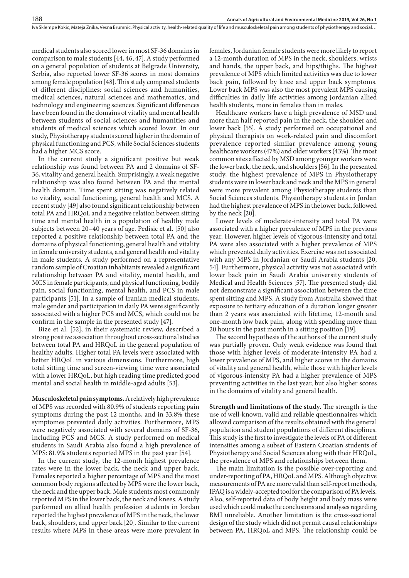medical students also scored lower in most SF-36 domains in comparison to male students [44, 46, 47]. A study performed on a general population of students at Belgrade University, Serbia, also reported lower SF-36 scores in most domains among female population [48]. This study compared students of different disciplines: social sciences and humanities, medical sciences, natural sciences and mathematics, and technology and engineering sciences. Significant differences have been found in the domains of vitality and mental health between students of social sciences and humanities and students of medical sciences which scored lower. In our study, Physiotherapy students scored higher in the domain of physical functioning and PCS, while Social Sciences students had a higher MCS score.

188

In the current study a significant positive but weak relationship was found between PA and 2 domains of SF-36, vitality and general health. Surprisingly, a weak negative relationship was also found between PA and the mental health domain. Time spent sitting was negatively related to vitality, social functioning, general health and MCS. A recent study [49] also found significant relationship between total PA and HRQoL and a negative relation between sitting time and mental health in a population of healthy male subjects between 20–40 years of age. Pedisic et al. [50] also reported a positive relationship between total PA and the domains of physical functioning, general health and vitality in female university students, and general health and vitality in male students. A study performed on a representative random sample of Croatian inhabitants revealed a significant relationship between PA and vitality, mental health, and MCS in female participants, and physical functioning, bodily pain, social functioning, mental health, and PCS in male participants [51]. In a sample of Iranian medical students, male gender and participation in daily PA were significantly associated with a higher PCS and MCS, which could not be confirm in the sample in the presented study [47].

Bize et al. [52], in their systematic review, described a strong positive association throughout cross-sectional studies between total PA and HRQoL in the general population of healthy adults. Higher total PA levels were associated with better HRQoL in various dimensions. Furthermore, high total sitting time and screen-viewing time were associated with a lower HRQoL, but high reading time predicted good mental and social health in middle-aged adults [53].

**Musculoskeletal pain symptoms.** A relatively high prevalence of MPS was recorded with 80.9% of students reporting pain symptoms during the past 12 months, and in 33.8% these symptomes prevented daily activities. Furthermore, MPS were negatively associated with several domains of SF-36, including PCS and MCS. A study performed on medical students in Saudi Arabia also found a high prevalence of MPS: 81.9% students reported MPS in the past year [54].

In the current study, the 12-month highest prevalence rates were in the lower back, the neck and upper back. Females reported a higher percentage of MPS and the most common body regions affected by MPS were the lower back, the neck and the upper back. Male students most commonly reported MPS in the lower back, the neck and knees. A study performed on allied health profession students in Jordan reported the highest prevalence of MPS in the neck, the lower back, shoulders, and upper back [20]. Similar to the current results where MPS in these areas were more prevalent in

females, Jordanian female students were more likely to report a 12-month duration of MPS in the neck, shoulders, wrists and hands, the upper back, and hips/thighs. The highest prevalence of MPS which limited activities was due to lower back pain, followed by knee and upper back symptoms. Lower back MPS was also the most prevalent MPS causing difficulties in daily life activities among Jordanian allied health students, more in females than in males.

**Annals of Agricultural and Environmental Medicine 2019, Vol 26, No 1**

Healthcare workers have a high prevalence of MSD and more than half reported pain in the neck, the shoulder and lower back [55]. A study performed on occupational and physical therapists on work-related pain and discomfort prevalence reported similar prevalence among young healthcare workers (47%) and older workers (43%). The most common sites affected by MSD among younger workers were the lower back, the neck, and shoulders [56]. In the presented study, the highest prevalence of MPS in Physiotherapy students were in lower back and neck and the MPS in general were more prevalent among Physiotherapy students than Social Sciences students. Physiotherapy students in Jordan had the highest prevalence of MPS in the lower back, followed by the neck [20].

Lower levels of moderate-intensity and total PA were associated with a higher prevalence of MPS in the previous year. However, higher levels of vigorous-intensity and total PA were also associated with a higher prevalence of MPS which prevented daily activities. Exercise was not associated with any MPS in Jordanian or Saudi Arabia students [20, 54]. Furthermore, physical activity was not associated with lower back pain in Saudi Arabia university students of Medical and Health Sciences [57]. The presented study did not demonstrate a significant association between the time spent sitting and MPS. A study from Australia showed that exposure to tertiary education of a duration longer greater than 2 years was associated with lifetime, 12-month and one-month low back pain, along with spending more than 20 hours in the past month in a sitting position [19].

The second hypothesis of the authors of the current study was partially proven. Only weak evidence was found that those with higher levels of moderate-intensity PA had a lower prevalence of MPS, and higher scores in the domains of vitality and general health, while those with higher levels of vigorous-intensity PA had a higher prevalence of MPS preventing activities in the last year, but also higher scores in the domains of vitality and general health.

**Strength and limitations of the study.** The strength is the use of well-known, valid and reliable questionnaires which allowed comparison of the results obtained with the general population and student populations of different disciplines. This study is the first to investigate the levels of PA of different intensities among a subset of Eastern Croatian students of Physiotherapy and Social Sciences along with their HRQoL, the prevalence of MPS and relationships between them.

The main limitation is the possible over-reporting and under-reporting of PA, HRQoL and MPS. Although objective measurements of PA are more valid than self-report methods, IPAQ is a widely-accepted tool for the comparison of PA levels. Also, self-reported data of body height and body mass were used which could make the conclusions and analyses regarding BMI unreliable. Another limitation is the cross-sectional design of the study which did not permit causal relationships between PA, HRQoL and MPS. The relationship could be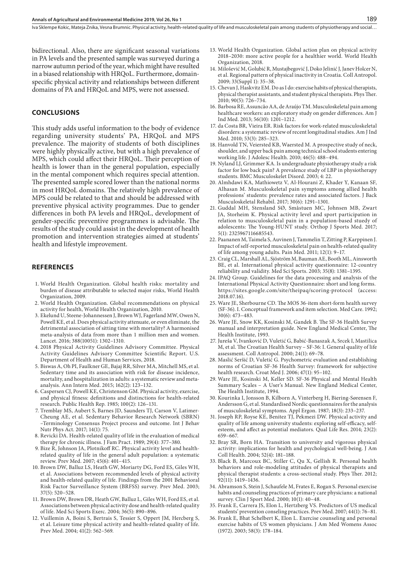bidirectional. Also, there are significant seasonal variations in PA levels and the presented sample was surveyed during a narrow autumn period of the year, which might have resulted in a biased relationship with HRQoL. Furthermore, domainspecific physical activity and relationships between different domains of PA and HRQoL and MPS, were not assessed.

#### **CONCLUSIONS**

This study adds useful information to the body of evidence regarding university students' PA, HRQoL and MPS prevalence. The majority of students of both disciplines were highly physically active, but with a high prevalence of MPS, which could affect their HRQoL. Their perception of health is lower than in the general population, especially in the mental component which requires special attention. The presented sample scored lower than the national norms in most HRQoL domains. The relatively high prevalence of MPS could be related to that and should be addressed with preventive physical activity programmes. Due to gender differences in both PA levels and HRQoL, development of gender-specific preventive programmes is advisable. The results of the study could assist in the development of health promotion and intervention strategies aimed at students' health and lifestyle improvement.

#### **REFERENCES**

- 1. World Health Organization. Global health risks: mortality and burden of disease attributable to selected major risks, World Health Organization, 2009.
- 2. World Health Organization. Global recommendations on physical activity for health, World Health Organization, 2010.
- 3. Ekelund U, Steene-Johannessen J, Brown WJ, Fagerland MW, Owen N, Powell KE, et al. Does physical activity attenuate, or even eliminate, the detrimental association of sitting time with mortality? A harmonised meta-analysis of data from more than 1 million men and women. Lancet. 2016; 388(10051): 1302–1310.
- 4. 2018 Physical Activity Guidelines Advisory Committee. Physical Activity Guidelines Advisory Committee Scientific Report. U.S. Department of Health and Human Services, 2018.
- 5. Biswas A, Oh PI, Faulkner GE, Bajaj RR, Silver MA, Mitchell MS, et al. Sedentary time and its association with risk for disease incidence, mortality, and hospitalization in adults: a systematic review and metaanalysis. Ann Intern Med. 2015; 162(2): 123–132.
- 6. Caspersen CJ, Powell KE, Christenson GM. Physical activity, exercise, and physical fitness: definitions and distinctions for health-related research. Public Health Rep. 1985; 100(2): 126–131.
- 7. Tremblay MS, Aubert S, Barnes JD, Saunders TJ, Carson V, Latimer-Cheung AE, et al. Sedentary Behavior Research Network (SBRN) –Terminology Consensus Project process and outcome. Int J Behav Nutr Phys Act. 2017; 14(1): 75.
- 8. Revicki DA. Health-related quality of life in the evaluation of medical therapy for chronic illness. J Fam Pract. 1989; 29(4): 377–380.
- 9. Bize R, Johnson JA, Plotnikoff RC. Physical activity level and healthrelated quality of life in the general adult population: a systematic review. Prev Med. 2007; 45(6): 401–415.
- 10. Brown DW, Balluz LS, Heath GW, Moriarty DG, Ford ES, Giles WH, et al. Associations between recommended levels of physical activity and health-related quality of life. Findings from the 2001 Behavioral Risk Factor Surveillance System (BRFSS) survey. Prev Med. 2003; 37(5): 520–528.
- 11. Brown DW, Brown DR, Heath GW, Balluz L, Giles WH, Ford ES, et al. Associations between physical activity dose and health-related quality of life. Med Sci Sports Exerc. 2004; 36(5): 890–896.
- 12. Vuillemin A, Boini S, Bertrais S, Tessier S, Oppert JM, Hercberg S, et al. Leisure time physical activity and health-related quality of life. Prev Med. 2004; 41(2): 562–569.
- 13. World Health Organization. Global action plan on physical activity 2018–2030: more active people for a healthier world. World Health Organization, 2018.
- 14. Milošević M, Golubić R, Mustajbegović J, Doko Jelinić J, Janev Holcer N, et al. Regional pattern of physical inactivity in Croatia. Coll Antropol. 2009; 33(Suppl 1): 35–38.
- 15. Chevan J, Haskvitz EM. Do as I do: exercise habits of physical therapists, physical therapist assistants, and student physical therapists. Phys Ther. 2010; 90(5): 726–734.
- 16. Barbosa RE, Assuncão AA, de Araújo TM. Musculoskeletal pain among healthcare workers: an exploratory study on gender differences. Am J Ind Med. 2013; 56(10): 1201–1212.
- 17. da Costa BR, Vieira ER. Risk factors for work-related musculoskeletal disorders: a systematic review of recent longitudinal studies. Am J Ind Med. 2010; 53(3): 285–323.
- 18. Hanvold TN, Veiersted KB, Waersted M. A prospective study of neck, shoulder, and upper back pain among technical school students entering working life. J Adolesc Health. 2010; 46(5): 488–494.
- 19. Nyland LJ, Grimmer KA. Is undergraduate physiotherapy study a risk factor for low back pain? A prevalence study of LBP in physiotherapy students. BMC Musculoskelet Disord. 2003; 4: 22.
- 20. Almhdawi KA, Mathiowetz V, Al-Hourani Z, Khader Y, Kanaan SF, Alhasan M. Musculoskeletal pain symptoms among allied health professions' students: prevalence rates and associated factors. J Back Musculoskeletal Rehabil. 2017; 30(6): 1291–1301.
- 21. Guddal MH, Stensland SØ, Småstuen MC, Johnsen MB, Zwart JA, Storheim K. Physical activity level and sport participation in relation to musculoskeletal pain in a population-based stuedy of adolescents: The Young-HUNT study. Orthop J Sports Med. 2017; 5(1): 2325967116685543.
- 22. Paananen M, Taimela S, Auvinen J, Tammelin T, Zitting P, Karppinen J. Impact of self-reported musculoskeletal pain on health-related quality of life among young adults. Pain Med. 2011; 12(1): 9–17.
- 23. Craig CL, Marshall AL, Sjöström M, [Bauman AE,](https://www.ncbi.nlm.nih.gov/pubmed/?term=Bauman AE%5BAuthor%5D&cauthor=true&cauthor_uid=12900694) [Booth ML](https://www.ncbi.nlm.nih.gov/pubmed/?term=Booth ML%5BAuthor%5D&cauthor=true&cauthor_uid=12900694), [Ainsworth](https://www.ncbi.nlm.nih.gov/pubmed/?term=Ainsworth BE%5BAuthor%5D&cauthor=true&cauthor_uid=12900694)  [BE](https://www.ncbi.nlm.nih.gov/pubmed/?term=Ainsworth BE%5BAuthor%5D&cauthor=true&cauthor_uid=12900694), et al. International physical activity questionnaire: 12-country reliability and validity. Med Sci Sports. 2003; 35(8): 1381–1395.
- 24. IPAQ Group. Guidelines for the data processing and analysis of the International Physical Activity Questionnaire: short and long forms. https://sites.google.com/site/theipaq/scoring-protocol (access: 2018.07.16).
- 25. Ware JE, Sherbourne CD. The MOS 36-item short-form health survey (SF-36). I. Conceptual framework and item selection. Med Care. 1992; 30(6): 473–483.
- 26. Ware JE, Snow KK, Kosinski M, Gandek B. The SF-36 Health Survey manual and interpretation guide. New England Medical Center, The Health Institute, 1993.
- 27. Jureša V, Ivanković D, Vuletić G, Babić-Banaszak A, Srcek I, Mastilica M, et al. The Croatian Health Survey – SF-36: I. General quality of life assessment. Coll Antropol. 2000; 24(1): 69–78.
- 28. Maslić Seršić D, Vuletić G. Psychometric evaluation and establishing norms of Croatian SF-36 Health Survey: framework for subjective health research. Croat Med J. 2006; 47(1): 95–102.
- 29. Ware JE, Kosinski M, Keller SD. SF-36 Physical and Mental Health Summary Scales – A User's Manual. New England Medical Center, The Health Institute, 1994.
- 30. Kourinka I, Jonsson B, Kilborn A, Vinterberg H, Biering-Sørensen F, Andersson G, et al. Standardised Nordic questionnaires for the analysis of musculoskeletal symptoms. Appl Ergon. 1987; 18(3): 233–237.
- 31. Joseph RP, Royse KE, Benitez TJ, Pekmezi DW. Physical activity and quality of life among university students: exploring self-efficacy, selfesteem, and affect as potential mediators. Qual Life Res. 2014; 23(2): 659–667.
- 32. Bray SR, Born HA. Transition to university and vigorous physical activity: implications for health and psychological well-being. J Am Coll Health. 2004; 52(4): 181–188.
- 33. Black B, Marcoux BC, Stiller C, Qu X, Gellish R. Personal health behaviors and role-modeling attitudes of physical therapists and physical therapist students: a cross-sectional study. Phys Ther. 2012; 92(11): 1419–1436.
- 34. Abramson S, Stein J, Schaufele M, Frates E, Rogan S. Personal exercise habits and counseling practices of primary care physicians: a national survey. Clin J Sport Med. 2000; 10(1): 40–48.
- 35. Frank E, Carrera JS, Elon L, Hertzberg VS. Predictors of US medical students' prevention conseling practices. Prev Med. 2007; 44(1): 76–81.
- 36. Frank E, Bhat Schelbert K, Elon L. Exercise counseling and personal exercise habits of US women physicians. J Am Med Womens Assoc (1972). 2003; 58(3): 178–184.